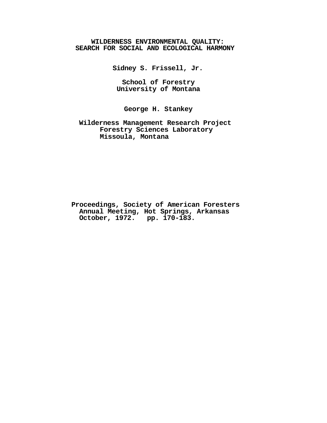# **WILDERNESS ENVIRONMENTAL QUALITY: SEARCH FOR SOCIAL AND ECOLOGICAL HARMONY**

**Sidney S. Frissell, Jr.**

**School of Forestry University of Montana**

**George H. Stankey**

**Wilderness Management Research Project Forestry Sciences Laboratory Missoula, Montana**

**Proceedings, Society of American Foresters Annual Meeting, Hot Springs, Arkansas October, 1972. pp. 170-183.**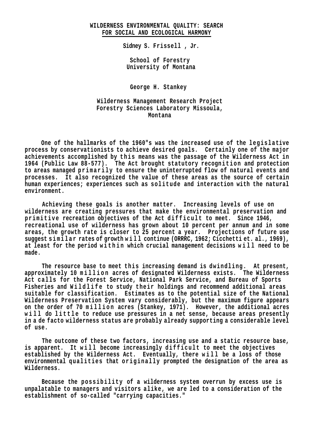# **WILDERNESS ENVIRONMENTAL QUALITY: SEARCH FOR SOCIAL AND ECOLOGICAL HARMONY**

**Sidney S. Frissell , Jr.**

**School of Forestry University of Montana**

**George H. Stankey**

**Wilderness Management Research Project Forestry Sciences Laboratory Missoula, Montana**

**One of the hallmarks of the 1960"s was the increased use of the legislative process by conservationists to achieve desired goals. Certainly one of the major achievements accomplished by this means was the passage of the Wilderness Act in**  1964 (Public Law 88-577). The Act brought statutory recognition and protection to areas managed primarily to ensure the uninterrupted flow of natural events and **processes. It also recognized the value of these areas as the source of certain human experiences; experiences such as solitude and interaction with the natural environment.**

**Achieving these goals is another matter. Increasing levels of use on wilderness are creating pressures that make the environmental preservation and**  primitive recreation objectives of the Act difficult to meet. Since 1946, **recreational use of wilderness has grown about 10 percent per annum and in some areas, the growth rate is closer to 25 percent a year. Projections of future use suggest similar rates of growth will continue (ORRRC, 1962; Cicchetti et. al., 1969),**  at least for the period within which crucial management decisions will need to be **made.**

**The resource base to meet this increasing demand is dwindling. At present,**  approximately 10 million acres of designated Wilderness exists. The Wilderness **Act calls for the Forest Service, National Park Service, and Bureau of Sports**  Fisheries and Wildlife to study their holdings and recommend additional areas **suitable for classification. Estimates as to the potential size of the National Wilderness Preservation System vary considerably, but the maximum figure appears**  on the order of 70 million acres (Stankey, 1971). However, the additional acres will do little to reduce use pressures in a net sense, because areas presently **in a de facto wilderness status are probably already supporting a considerable level of use.**

**The outcome of these two factors, increasing use and a static resource base,**  is apparent. It will become increasingly difficult to meet the objectives established by the Wilderness Act. Eventually, there will be a loss of those **environmental qualities that originally prompted the designation of the area as Wilderness.**

**Because the possibility of a wilderness system overrun by excess use is unpalatable to managers and visitors alike, we are led to a consideration of the establishment of so-called "carrying capacities."**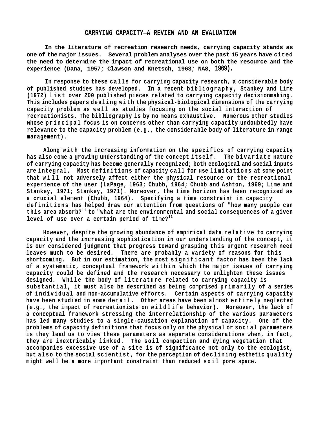## **CARRYING CAPACITY—A REVIEW AND AN EVALUATION**

**In the literature of recreation research needs, carrying capacity stands as one of the major issues. Several problem analyses over the past 15 years have cited the need to determine the impact of recreational use on both the resource and the experience (Dana, 1957; Clawson and Knetsch, 1963; NAS, 1969).**

In response to these calls for carrying capacity research, a considerable body **of published studies has developed. In a recent bibliography, Stankey and Lime (1972) l i s t over 200 published pieces related to carrying capacity decisionmaking. This includes papers dealing with the physical-biological dimensions of the carrying**  capacity problem as well as studies focusing on the social interaction of **recreationists. The bibliography is by no means exhaustive. Numerous other studies whose principal focus is on concerns other than carrying capacity undoubtedly have relevance to the capacity problem (e.g., the considerable body of literature in range management).**

Along with the increasing information on the specifics of carrying capacity **has also come a growing understanding of the concept itself. The bivariate nature of carrying capacity has become generally recognized; both ecological and social inputs are integral. Most definitions of capacity call for use limitations at some point that w i l l not adversely affect either the physical resource or the recreational experience of the user (LaPage, 1963; Chubb, 1964; Chubb and Ashton, 1969; Lime and Stankey, 1971; Stankey, 1971). Moreover, the time horizon has been recognized as a crucial element (Chubb, 1964). Specifying a time constraint in capacity definitions has helped draw our attention from questions of "how many people can this area absorb?11 to "what are the environmental and social consequences of a given level of use over a certain period of time?<sup>11</sup>**

**However, despite the growing abundance of empirical data relative to carrying capacity and the increasing sophistication in our understanding of the concept, it is our considered judgment that progress toward grasping this urgent research need leaves much to be desired. There are probably a variety of reasons for this**  shortcoming. But in our estimation, the most significant factor has been the lack of a systematic, conceptual framework within which the major issues of carrying **capacity could be defined and the research necessary to enlighten these issues**  designed. While the body of literature related to carrying capacity is substantial, it must also be described as being comprised primarily of a series of individual and non-accumulative efforts. Certain aspects of carrying capacity **have been studied in some detail. Other areas have been almost entirely neglected (e.g., the impact of recreationists on w ildlife behavior). Moreover, the lack of a conceptual framework stressing the interrelationship of the various parameters has led many studies to a single-causation explanation of capacity. One of the problems of capacity definitions that focus only on the physical or social parameters is they lead us to view these parameters as separate considerations when, in fact, they are inextricably linked. The soil compaction and dying vegetation that accompanies excessive use of a site is of significance not only to the ecologist,**  but also to the social scientist, for the perception of declining esthetic quality **might well be a more important constraint than reduced s o i l pore space.**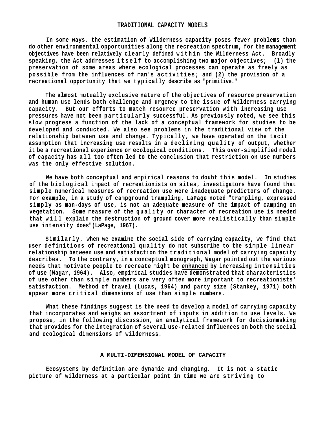### **TRADITIONAL CAPACITY MODELS**

**In some ways, the estimation of Wilderness capacity poses fewer problems than do other environmental opportunities along the recreation spectrum, for the management objectives have been relatively clearly defined w i t h i n the Wilderness Act. Broadly speaking, the Act addresses itself to accomplishing two major objectives;** (1) the **preservation of some areas where ecological processes can operate as freely as**  possible from the influences of man's activities; and (2) the provision of a **recreational opportunity that we typically describe as "primitive."**

**The almost mutually exclusive nature of the objectives of resource preservation and human use lends both challenge and urgency to the issue of Wilderness carrying capacity. But our efforts to match resource preservation with increasing use pressures have not been particularly successful. As previously noted, we see this slow progress a function of the lack of a conceptual framework for studies to be developed and conducted. We also see problems in the traditional view of the relationship between use and change. Typically, we have operated on the tacit**  assumption that increasing use results in a declining quality of output, whether **it be a recreational experience or ecological conditions. This over-simplified model**  of capacity has all too often led to the conclusion that restriction on use numbers **was the only effective solution.**

**We have both conceptual and empirical reasons to doubt this model. In studies of the biological impact of recreationists on sites, investigators have found that simple numerical measures of recreation use were inadequate predictors of change. For example, in a study of campground trampling, LaPage noted "trampling, expressed simply as man-days of use, is not an adequate measure of the impact of camping on**  vegetation. Some measure of the quality or character of recreation use is needed **that will explain the destruction of ground cover more realistically than simple use intensity does"(LaPage, 1967).**

Similarly, when we examine the social side of carrying capacity, we find that user definitions of recreational quality do not subscribe to the simple linear relationship between use and satisfaction the traditional model of carrying capacity **describes. To the contrary, in a conceptual monograph, Wagar pointed out the various needs that motivate people to recreate might be enhanced by increasing intensities of use (Wagar, 1964). Also, empirical studies have demonstrated that characteristics of use other than simple numbers are very often more important to recreationists' satisfaction. Method of travel (Lucas, 1964) and party size (Stankey, 1971) both appear more critical dimensions of use than simple numbers.**

**What these findings suggest is the need to develop a model of carrying capacity that incorporates and weighs an assortment of inputs in addition to use levels. We propose, in the following discussion, an analytical framework for decisionmaking that provides for the integration of several use-related influences on both the social and ecological dimensions of wilderness.**

#### **A MULTI-DIMENSIONAL MODEL OF CAPACITY**

**Ecosystems by definition are dynamic and changing. It is not a static**  picture of wilderness at a particular point in time we are striving to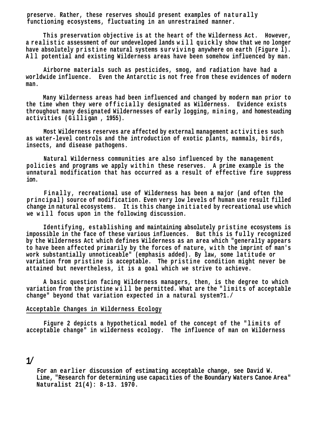**preserve. Rather, these reserves should present examples of naturally functioning ecosystems, fluctuating in an unrestrained manner.**

**This preservation objective is at the heart of the Wilderness Act. However, a realistic assessment of our undeveloped lands w i l l quickly show that we no longer**  have absolutely pristine natural systems surviving anywhere on earth (Figure 1). **All potential and existing Wilderness areas have been somehow influenced by man.**

**Airborne materials such as pesticides, smog, and radiation have had a worldwide influence. Even the Antarctic is not free from these evidences of modern man.**

**Many Wilderness areas had been influenced and changed by modern man prior to the time when they were official ly designated as Wilderness. Evidence exists throughout many designated Wildernesses of early logging, mining, and homesteading activities (Gilli gan , 1955).**

**Most Wilderness reserves are affected by external management activities such as water-level controls and the introduction of exotic plants, mammals, birds, insects, and disease pathogens.**

**Natural Wilderness communities are also influenced by the management p o l i c i e s and programs we apply within these reserves. A prime example is the unnatural modification that has occurred as a result of effective fire suppress ion.**

Finally, recreational use of Wilderness has been a major (and often the **principal) source of modification. Even very low levels of human use result filled change in natural ecosystems. It is this change initiated by recreational use which**  we will focus upon in the following discussion.

Identifying, establishing and maintaining absolutely pristine ecosystems is impossible in the face of these various influences. But this is fully recognized **by the Wilderness Act which defines Wilderness as an area which "general1y appears to have been affected primarily by the forces of nature, with the imprint of man's work substantially unnoticeable" (emphasis added). By law, some latitude or variation from pristine is acceptable. The pristine condition might never be attained but nevertheless, it is a goal which we strive to achieve.**

**A basic question facing Wilderness managers, then, is the degree to which variation from the pristine w i l l be permitted. What are the "limits of acceptable change" beyond that variation expected in a natural system?1./**

# **Acceptable Changes in Wilderness Ecology**

**Figure 2 depicts a hypothetical model of the concept of the "limits of acceptable change" in wilderness ecology. The influence of man on Wilderness**

# **1/**

**For an earlier discussion of estimating acceptable change, see David W. Lime, "Research for determining use capacities of the Boundary Waters Canoe Area" Naturalist 21(4): 8-13. 1970.**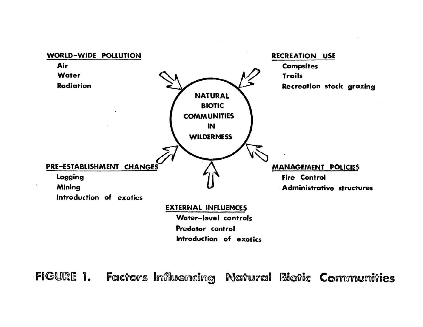

FIGURE 1. Factors Influencing Natural Biotic Communities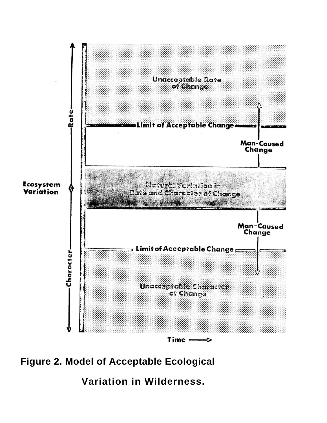

**Figure 2. Model of Acceptable Ecological**

**Variation in Wilderness.**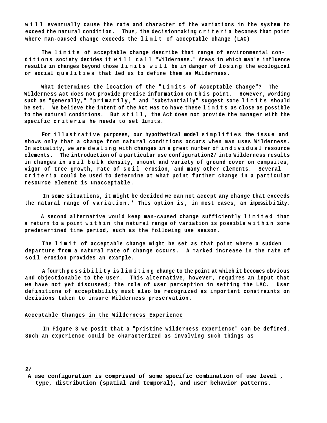**w i l l eventually cause the rate and character of the variations in the system to exceed the natural condition. Thus, the decisionmaking c r i t e r i a becomes that point where man-caused change exceeds the l i m i t of acceptable change (LAC)**

The limits of acceptable change describe that range of environmental con**ditions society decides it w i l l c a l l "Wilderness." Areas in which man's influence results in changes beyond those limits w i l l be in danger of losing the ecological or social qualities that led us to define them as Wilderness.**

What determines the location of the "Limits of Acceptable Change"? The Wilderness Act does not provide precise information on this point. However, wording such as "generally," "primarily," and "substantially" suggest some limits should **be set. We believe the intent of the Act was to have these l i m i t s as close as possible to the natural conditions. But s t i l l , the Act does not provide the manager with the**  specific criteria he needs to set limits.

For illustrative purposes, our hypothetical model simplifies the issue and **shows only that a change from natural conditions occurs when man uses Wilderness.**  In actuality, we are dealing with changes in a great number of individual resource **elements. The introduction of a particular use configuration2/ into Wilderness results**  in changes in soil bulk density, amount and variety of ground cover on campsites, **vigor of tree growth, rate of soil erosion, and many other elements. Several criteria could be used to determine at what point further change in a particular resource element is unacceptable.**

**In some situations, it might be decided we can not accept any change that exceeds**  the natural range of variation.' This option is, in most cases, an impossibility.

**A second alternative would keep man-caused change sufficiently limited that**  a return to a point within the natural range of variation is possible within some **predetermined time period, such as the following use season.**

**The l i m i t of acceptable change might be set as that point where a sudden departure from a natural rate of change occurs. A marked increase in the rate of s o i l erosion provides an example.**

**A fourth possibility is limiting change to the point at which it becomes obvious and objectionable to the user. This alternative, however, requires an input that we have not yet discussed; the role of user perception in setting the LAC. User definitions of acceptability must also be recognized as important constraints on decisions taken to insure Wilderness preservation.**

#### **Acceptable Changes in the Wilderness Experience**

**In Figure 3 we posit that a "pristine wilderness experience" can be defined. Such an experience could be characterized as involving such things as**

#### **2/**

 **A use configuration is comprised of some specific combination of use level , type, distribution (spatial and temporal), and user behavior patterns.**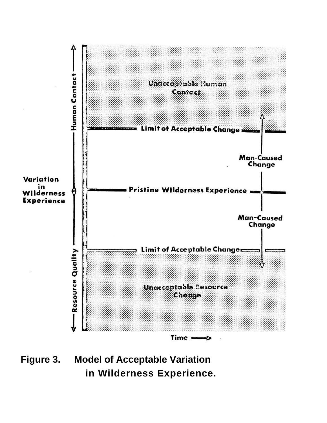

**Figure 3. Model of Acceptable Variation in Wilderness Experience.**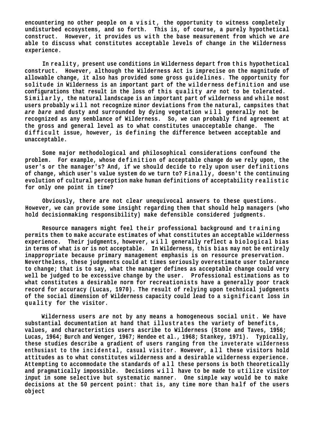encountering no other people on a visit, the opportunity to witness completely **undisturbed ecosystems, and so forth. This is, of course, a purely hypothetical construct. However, it provides us with the base measurement from which we** *are*  **able to discuss what constitutes acceptable levels of change in the Wilderness experience.**

**In reality, present use conditions in Wilderness depart from this hypothetical construct. However, although the Wilderness Act is imprecise on the magnitude of allowable change, it also has provided some gross guidelines. The opportunity for solitude in Wilderness is an important part of the wilderness definition and use**  configurations that result in the loss of this quality are not to be tolerated. **Similarly, the natural landscape is an important part of wilderness and while most users probably w i l l not recognize minor deviations from the natural, campsites that**  *are bare* **and dusty and surrounded by dying vegetation w i l l generally not be recognized as any semblance of Wilderness. So, we can probably find agreement at the gross and general level as to what constitutes unacceptable change. The difficult issue, however, is defining the difference between acceptable and unacceptable.**

**Some major methodological and philosophical considerations confound the problem. For example, whose definition of acceptable change do we rely upon, the user's or the manager's? And, if we should decide to rely upon user definitions**  of change, which user's value system do we turn to? Finally, doesn't the continuing **evolution of cultural perception make human definitions of acceptability realistic for only one point in time?**

**Obviously, there are not clear unequivocal answers to these questions. However, we can provide some insight regarding them that should help managers (who hold decisionmaking responsibility) make defensible considered judgments.**

**Resource managers might feel their professional background and training permits them to make accurate estimates of what constitutes an acceptable wilderness**  experience. Their judgments, however, will generally reflect a biological bias **in terms of what is or is not acceptable. In Wilderness, this bias may not be entirely inappropriate because primary management emphasis is on resource preservation. Nevertheless, these judgments could at times seriously overestimate user tolerance to change; that is to say, what the manager defines as acceptable change could very well be judged to be excessive change by the user. Professional estimations as to what constitutes a desirable norm for recreationists have a generally poor track record for accuracy (Lucas, 1970). The result of relying upon technical judgments of the social dimension of Wilderness capacity could lead to a significant loss in quality for the visitor.**

**Wilderness users** *are* **not by any means a homogeneous social unit. We have substantial documentation at hand that illustrates the variety of benefits, values, and characteristics users ascribe to Wilderness (Stone and Taves, 1956; Lucas, 1964; Burch and Wenger, 1967; Hendee et al., 1968; Stankey, 1971). Typically, these studies describe a gradient of users ranging from the inveterate wiIderness enthusiast to the incidental, casual visitor. However, all these visitors hold attitudes as to what constitutes wilderness and a desirable wilderness experience. Attempting to accommodate the standards of all these persons is both theoretically and pragmatically impossible. Decisions w i l l have to be made to utilize visitor input in some selective but systematic manner. One simple way would be to make decisions at the 50 percent point: that is, any time more than half of the users object**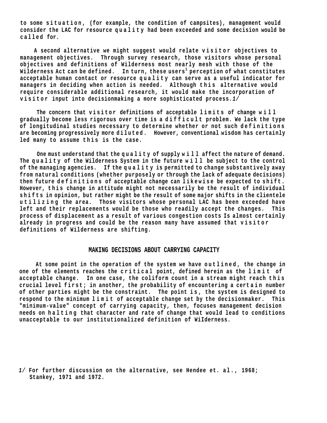to some situation, (for example, the condition of campsites), management would **consider the LAC for resource quality had been exceeded and some decision would be called for.**

 **A second alternative we might suggest would relate visitor objectives to management objectives. Through survey research, those visitors whose personal objectives and definitions of Wilderness most nearly mesh with those of the Wilderness Act can be defined. In turn, these users1 perception of what constitutes acceptable human contact or resource quality can serve as a useful indicator for managers in deciding when action is needed. Although this alternative would require considerable additional research, it would make the incorporation of visitor input into decisionmaking a more sophisticated process***.1/*

The concern that visitor definitions of acceptable limits of change will **gradually become less rigorous over time is a d i f ficult problem. We lack the type**  of longitudinal studies necessary to determine whether or not such definitions **are becoming progressively more diluted. However, conventional wisdom has certainly**  led many to assume this is the case.

**One must understand that the quality of supply will affect the nature of demand.**  The quality of the Wilderness System in the future will be subject to the control **of the managing agencies. If the q u a l i t y is permitted to change substantively away from natural conditions (whether purposely or through the lack of adequate decisions)**  then future definitions of acceptable change can likewise be expected to shift. However, this change in attitude might not necessarily be the result of individual **s h i f t s in opinion, but rather might be the result of some major shifts in the clientele utilizing the area. Those visitors whose personal LAC has been exceeded have left and their replacements would be those who readily accept the changes. This process of displacement as a result of various congestion costs Is almost certainly**  already in progress and could be the reason many have assumed that visitor **definitions of Wilderness are shifting.**

# **MAKING DECISIONS ABOUT CARRYING CAPACITY**

**At some point in the operation of the system we have outlined, the change in**  one of the elements reaches the critical point, defined herein as the limit of **acceptable change. In one case, the coliform count in a stream might reach this crucial level first; in another, the probability of encountering a certain number of other parties might be the constraint. The point is, the system is designed to respond to the minimum l i m i t of acceptable change set by the decisionmaker. This "minimum-value" concept of carrying capacity, then, focuses management decision needs on halting that character and rate of change that would lead to conditions unacceptable to our institutionalized definition of WiIderness.**

*<sup>1/</sup>* **For further discussion on the alternative, see Hendee et. al., 1968; Stankey, 1971 and 1972.**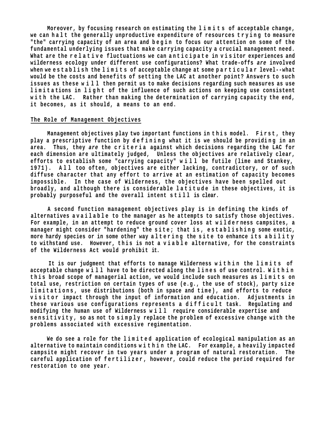**Moreover, by focusing research on estimating the l i m i t s of acceptable change,**  we can halt the generally unproductive expenditure of resources trying to measure "the" carrying capacity of an area and begin to focus our attention on some of the **fundamental underlying issues that make carrying capacity a crucial management need.**  What are the relative fluctuations we can anticipate in visitor experiences and **wilderness ecology under different use configurations? What trade-offs** *are* **involved**  when we establish the limits of acceptable change at some particular level--what **would be the costs and benefits of setting the LAC at another point? Answers to such issues as these w i l l then permit us to make decisions regarding such measures as use**  limitations in light of the influence of such actions on keeping use consistent with the LAC. Rather than making the determination of carrying capacity the end, **it becomes, as it should, a means to an end.**

## **The Role of Management Objectives**

Management objectives play two important functions in this model. First, they play a prescriptive function by defining what it is we should be providing in an **area. Thus, they** *are* **the c r i t e r i a against which decisions regarding the LAC for each dimension are ultimately judged, Unless the objectives are relatively clear, efforts to establish some "carrying capacity" w i l l be futile (lime and Stankey, 1971). A l l too often, objectives are either lacking, contradictory, or of such diffuse character that any effort to arrive at an estimation of capacity becomes impossible. In the case of Wilderness, the objectives have been spelled out**  broadly, and although there is considerable latitude in these objectives, it is **probably purposeful and the overall intent s t i l l is clear.**

**A second function management objectives play is in defining the kinds of alternatives a v a i l a b l e to the manager as he attempts to satisfy those objectives.**  For example, in an attempt to reduce ground cover loss at wilderness campsites, a **manager might consider "hardening" the s ite; that i s , e s t ablishing some exotic,**  more hardy species or in some other way altering the site to enhance its ability to withstand use. However, this is not a viable alternative, for the constraints **of the Wilderness Act would prohibit it.**

It is our judgment that efforts to manage Wilderness within the limits of **acceptable change w i l l have to be directed along the l i n e s of use control. W i t h i n**  this broad scope of managerial action, we would include such measures as limits on **total use, restriction on certain types of use (e.g., the use of stock), party size**  limitations, use distributions (both in space and time), and efforts to reduce **v i s i t o r impact through the input of information and education. Adjustments in**  these various use configurations represents a difficult task. Regulating and **modifying the human use of Wilderness w ill require considerable expertise and**  sensitivity, so as not to simply replace the problem of excessive change with the **problems associated with excessive regimentation.**

We do see a role for the limited application of ecological manipulation as an **alternative to maintain conditions w i t h i n the LAC. For example, a heavily impacted campsite might recover in two years under a program of natural restoration. The careful application of fertilizer, however, could reduce the period required for restoration to one year.**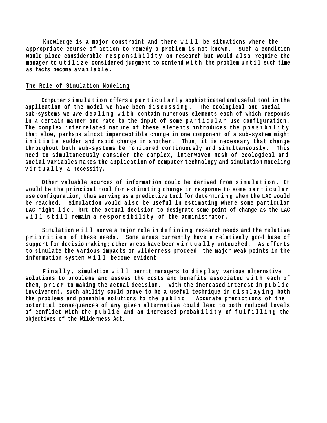**Knowledge is a major constraint and there w i l l be situations where the appropriate course of action to remedy a problem is not known. Such a condition**  would place considerable responsibility on research but would also require the **manager to u t i l i z e considered judgment to contend w i t h the problem until such time as facts become a v a i l a b l e .**

## **The Role of Simulation Modeling**

Computer simulation offers a particularly sophisticated and useful tool in the application of the model we have been discussing. The ecological and social sub-systems we are dealing with contain numerous elements each of which responds in a certain manner and rate to the input of some particular use configuration. **The complex interrelated nature of these elements introduces the possibility that slow, perhaps almost imperceptible change in one component of a sub-system might**  initiate sudden and rapid change in another. Thus, it is necessary that change **throughout both sub-systems be monitored continuously and simultaneously. This need to simultaneously consider the complex, interwoven mesh of ecological and social variables makes the application of computer technology and simulation modeling v i r t u a l l y a necessity.**

Other valuable sources of information could be derived from simulation. It would be the principal tool for estimating change in response to some particular use configuration, thus serving as a predictive tool for determining when the LAC would be reached. Simulation would also be useful in estimating where some particular LAC might lie, but the actual decision to designate some point of change as the LAC **will st i l l remain a r e s p o n s i b i l i t y of the administrator.**

**Simulation w i l l serve a major role in d e f i n i n g research needs and the relative p r i o r i t i e s of these needs. Some areas currently have a relatively good base of support for decisionmaking; other areas have been v i r t u a l l y untouched. As efforts to simulate the various impacts on wilderness proceed, the major weak points in the information system w i l l become evident.**

Finally, simulation will permit managers to display various alternative solutions to problems and assess the costs and benefits associated with each of them, prior to making the actual decision. With the increased interest in public involvement, such ability could prove to be a useful technique in displaying both the problems and possible solutions to the public. Accurate predictions of the **potential consequences of any given alternative could lead to both reduced levels**  of conflict with the public and an increased probability of fulfilling the **objectives of the Wilderness Act.**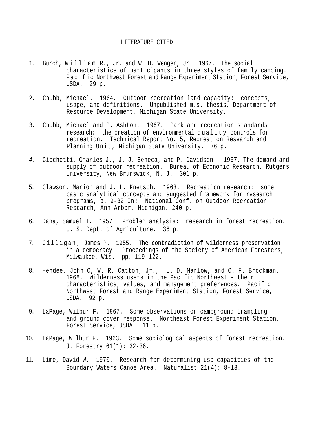## LITERATURE CITED

- 1. Burch, William R., Jr. and W. D. Wenger, Jr. 1967. The social characteristics of participants in three styles of family camping. Pacific Northwest Forest and Range Experiment Station, Forest Service, USDA. 29 p.
- 2. Chubb, Michael. 1964*.* Outdoor recreation land capacity: concepts, usage, and definitions. Unpublished m.s. thesis, Department of Resource Development, Michigan State University.
- 3. Chubb, Michael and P. Ashton. 1967. Park and recreation standards research: the creation of environmental quality controls for recreation. Technical Report No. 5, Recreation Research and Planning Unit, Michigan State University. 76 p.
- *4.* Cicchetti, Charles J., J. J. Seneca, and P. Davidson. 1967. The demand and supply of outdoor recreation. Bureau of Economic Research, Rutgers University, New Brunswick, N. J. 301 p.
- 5. Clawson, Marion and J. L. Knetsch. 1963. Recreation research: some basic analytical concepts and suggested framework for research programs, p. 9-32 In: National Conf. on Outdoor Recreation Research, Ann Arbor, Michigan. 240 p.
- 6. Dana, Samuel T. 1957. Problem analysis: research in forest recreation. U. S. Dept. of Agriculture. 36 p.
- 7. Gilligan, James P. 1955. The contradiction of wilderness preservation in a democracy. Proceedings of the Society of American Foresters, Milwaukee, Wis. pp. 119-122.
- 8. Hendee, John C, W. R. Catton, Jr., L. D. Marlow, and C. F. Brockman. 1968. Wilderness users in the Pacific Northwest - their characteristics, values, and management preferences. Pacific Northwest Forest and Range Experiment Station, Forest Service, USDA. 92 p.
- 9. LaPage, Wilbur F. 1967. Some observations on campground trampling and ground cover response. Northeast Forest Experiment Station, Forest Service, USDA. 11 p.
- 10. LaPage, Wilbur F. 1963. Some sociological aspects of forest recreation. J. Forestry 61(1): 32-36.
- 11. Lime, David W. 1970. Research for determining use capacities of the Boundary Waters Canoe Area. Naturalist 21(4): 8-13.